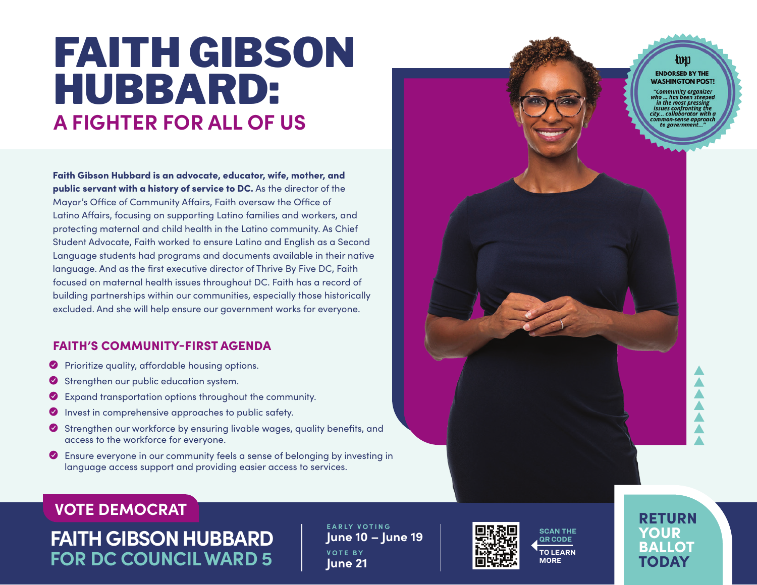# **A FIGHTER FOR ALL OF US** FAITH GIBSON HUBBARD:

Faith Gibson Hubbard is an advocate, educator, wife, mother, and public servant with a history of service to DC. As the director of the Mayor's Office of Community Affairs, Faith oversaw the Office of Latino Affairs, focusing on supporting Latino families and workers, and protecting maternal and child health in the Latino community. As Chief Student Advocate, Faith worked to ensure Latino and English as a Second Language students had programs and documents available in their native language. And as the first executive director of Thrive By Five DC, Faith focused on maternal health issues throughout DC. Faith has a record of building partnerships within our communities, especially those historically excluded. And she will help ensure our government works for everyone.

### FAITH'S COMMUNITY-FIRST AGENDA

- **O** Prioritize quality, affordable housing options.
- $\bullet$  Strengthen our public education system.
- Y Expand transportation options throughout the community.
- Y Invest in comprehensive approaches to public safety.
- Y Strengthen our workforce by ensuring livable wages, quality benefits, and access to the workforce for everyone.
- Y Ensure everyone in our community feels a sense of belonging by investing in language access support and providing easier access to services.

### **VOTE DEMOCRAT**

**FAITH GIBSON HUBBARD FOR DC COUNCIL WARD 5**

**E A R LY V O T I N G June 10 – June 19 VOTE BY June 21**





ա **ENDORSED BY THE WASHINGTON POST!** 

**Community organizer** issues confronting th v... collaborator with a 10n-sense approac

RETURN YOUR BALLOT

TODAY